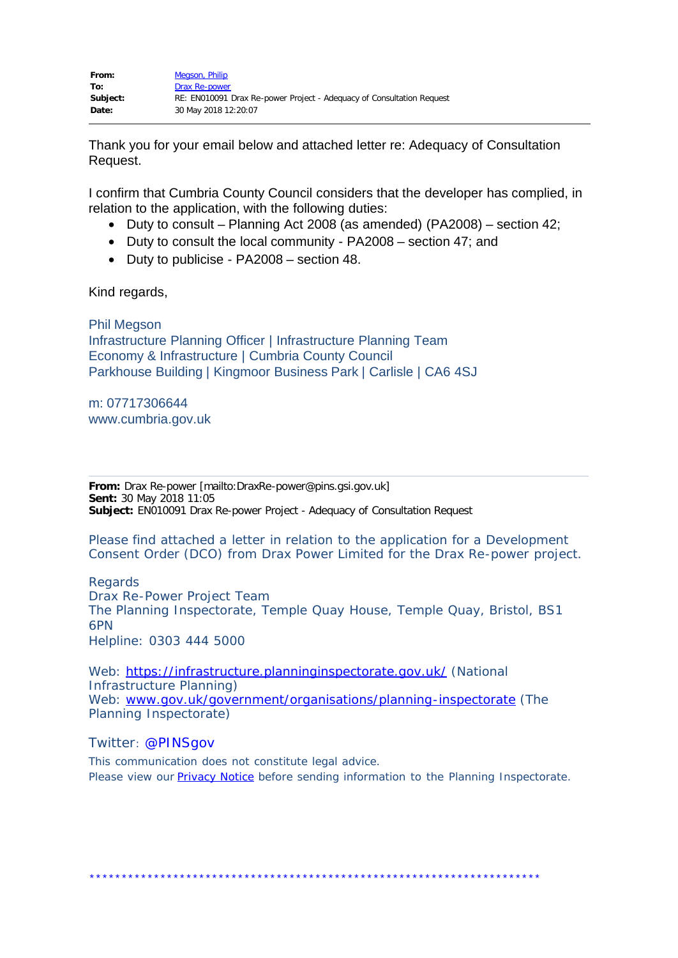Thank you for your email below and attached letter re: Adequacy of Consultation Request.

I confirm that Cumbria County Council considers that the developer has complied, in relation to the application, with the following duties:

- · Duty to consult Planning Act 2008 (as amended) (PA2008) section 42;
- · Duty to consult the local community PA2008 section 47; and
- · Duty to publicise PA2008 section 48.

Kind regards,

Phil Megson Infrastructure Planning Officer | Infrastructure Planning Team Economy & Infrastructure | Cumbria County Council Parkhouse Building | Kingmoor Business Park | Carlisle | CA6 4SJ

m: 07717306644 www.cumbria.gov.uk

**From:** Drax Re-power [mailto:DraxRe-power@pins.gsi.gov.uk] **Sent:** 30 May 2018 11:05 **Subject:** EN010091 Drax Re-power Project - Adequacy of Consultation Request

Please find attached a letter in relation to the application for a Development Consent Order (DCO) from Drax Power Limited for the Drax Re-power project.

Regards Drax Re-Power Project Team The Planning Inspectorate, Temple Quay House, Temple Quay, Bristol, BS1 6PN Helpline: 0303 444 5000

Web: <https://infrastructure.planninginspectorate.gov.uk/>(National Infrastructure Planning) Web: [www.gov.uk/government/organisations/planning-inspectorate](http://www.gov.uk/government/organisations/planning-inspectorate) (The Planning Inspectorate)

## Twitter: @PINSgov

This communication does not constitute legal advice. Please view our **Privacy Notice** before sending information to the Planning Inspectorate.

\*\*\*\*\*\*\*\*\*\*\*\*\*\*\*\*\*\*\*\*\*\*\*\*\*\*\*\*\*\*\*\*\*\*\*\*\*\*\*\*\*\*\*\*\*\*\*\*\*\*\*\*\*\*\*\*\*\*\*\*\*\*\*\*\*\*\*\*\*\*